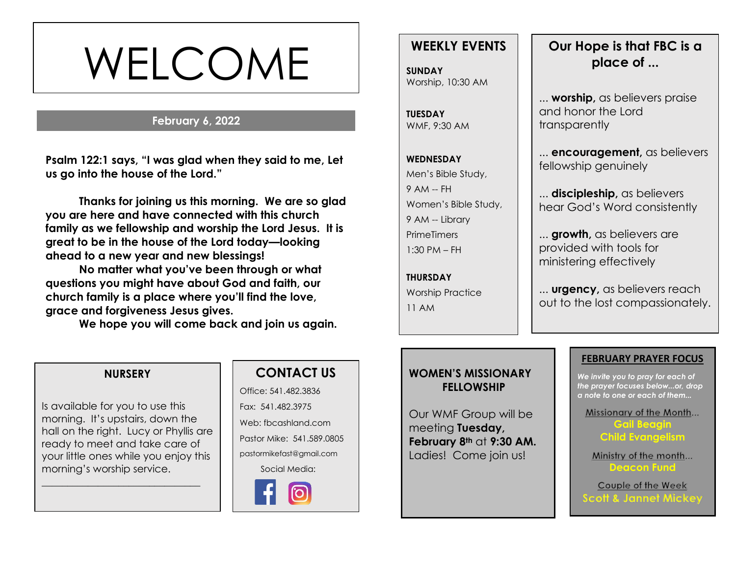# WELCOME

#### **February 6, 2022**

**s Psalm 122:1 says, "I was glad when they said to me, Let us go into the house of the Lord."**

**Thanks for joining us this morning. We are so glad you are here and have connected with this church family as we fellowship and worship the Lord Jesus. It is great to be in the house of the Lord today—looking ahead to a new year and new blessings!** 

**No matter what you've been through or what questions you might have about God and faith, our church family is a place where you'll find the love, grace and forgiveness Jesus gives.**

**We hope you will come back and join us again.**

# **WEEKLY EVENTS**

**SUNDAY** Worship, 10:30 AM

**TUESDAY** WMF, 9:30 AM

**WEDNESDAY** Men's Bible Study, 9 AM -- FH Women's Bible Study, 9 AM -- Library **PrimeTimers**  $1:30$  PM  $-$  FH

**THURSDAY** Worship Practice 11 AM

# **Our Hope is that FBC is a place of ...**

... **worship,** as believers praise and honor the Lord transparently

... **encouragement,** as believers fellowship genuinely

... **discipleship,** as believers hear God's Word consistently

... **growth,** as believers are provided with tools for ministering effectively

... **urgency,** as believers reach out to the lost compassionately.

#### **NURSERY**

Is available for you to use this morning. It's upstairs, down the hall on the right. Lucy or Phyllis are ready to meet and take care of your little ones while you enjoy this morning's worship service.

\_\_\_\_\_\_\_\_\_\_\_\_\_\_\_\_\_\_\_\_\_\_\_\_\_\_\_\_\_\_\_

# **CONTACT US**

Office: 541.482.3836 Fax: 541.482.3975 Web: fbcashland.com Pastor Mike: 541.589.0805 pastormikefast@gmail.com Social Media:



### **WOMEN'S MISSIONARY FELLOWSHIP**

Our WMF Group will be meeting **Tuesday, February 8th** at **9:30 AM.** Ladies! Come join us!

#### **FEBRUARY PRAYER FOCUS**

*We invite you to pray for each of the prayer focuses below...or, drop a note to one or each of them...*

Missionary of the Month...

**Gail Beagin Child Evangelism**

Ministry of the month... **Deacon Fund**

Couple of the Week **Scott & Jannet Mickey**